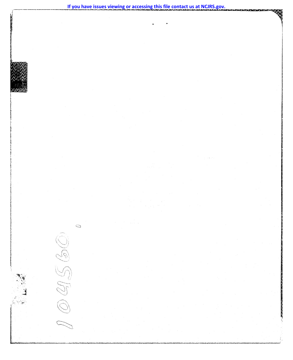

**If you have issues viewing or accessing this file contact us at NCJRS.gov.**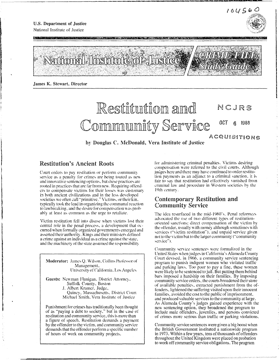



A CONTRACTOR OF A CONTRACTOR OF A CONTRACTOR CONTRACTOR OF A CONTRACTOR CONTRACTOR OF A CONTRACTOR

James K. Stewart, Director

# Restitution and NCJRS Community Service  $00T$ 1988 ACQUISITIONS

#### by Douglas C. McDonald, Vera Institute of Justice

## **Restitution's Ancient Roots**

Court orders to pay restitution or perform community service as a penalty for crimes are being touted as new and innovative sentencing options, but these practices are rooted in practices that are far from new. Requiring offenders to compensate victims for their losses was customary in both ancient civilizations and in the less developed<br>societies we often call "primitive." Victims, or their kin. typically took the lead in organizing the communal reaction to lawbreaking, and the desire for compensation was probably at least as common as the urge to retaliate.

Victim restitution fell into disuse when victims lost their central role in the penal process, a development that occurred when formally organized governments emerged and asserted their authority. Kings and their ministers defined a crime against an individual as a crime against the state, and the machinery of the state assumed the responsibility

Moderator: James Q. Wilson, Collins Professor of Management, University of California, Los Angeles Guests: Newman Flanigan, District Attorney,

Suffolk County, Boston J. Albert Kramer, Judge, Quincy, Massachusetts, District Court Michael Smith, Vera Institute of Justice

Punishment for crimes has traditionally been thought<br>of as "paying a debt to society," but in the case of restitution and community service, this is more than a figure of speech. Restitution demands a payment by the offender to the victim, and community service demands that the offender perform a specific number of hours of work on community projects.

for administering criminal penalties. Victims desiring compensation were referred to the civil courts. Although judges here and there may have continued to order restitution payments as an adjunct to a criminal sanction, it is fair to say that restitution had effectively vanished from criminal law and procedure in Western societies by the 19th century.

## **Contemporary Restitution and Community Service**

The idea resurfaced in the mid-1960's. Penal reformers advocated the use of two different types of restitutionoriented sanctions; direct compensation of the victim by the offender, usually with money although sometimes with services ("victim restitution"), and unpaid service given not to the victim but to the larger community ("community service").

Community service sentences were formalized in the United States when judges in California's Alameda County Court devised, in 1966, a community service sentencing program to punish indigent women who violated traffic and parking laws. Too poor to pay a fine, these women were likely to be sentenced to jail. But putting them behind bars imposed a hardship on their families. By imposing community service orders, the courts broadened their store of available penalties, extracted punishment from the offenders, lightened the suffering visited upon their innocent families, avoided the cost to the public of imprisonment, and produced valuable services to the community at large. As Alameda County's judges gained experience with the new sentencing option, they broadened the program to include male offenders, juveniles, and persons convicted of crimes more serious than traffic or parking violations.

Community service sentences were given a big boost when the British Government instituted a nationwide program in 1973. Within a few years, tens of thousands of offenders throughout the United Kingdom were placed on probation to work off community service obligations. The program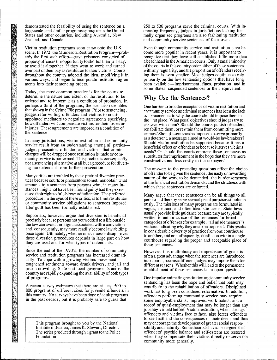demonstrated the feasibility of using the sentence on a large scale, and similar programs sprang up in the United States and other countries, including Australia, New Zealand, and Canada.

Victim restitution programs soon can.e onto the U.S. scene. In 1972, the Minnesota Restitution Program—probably the first such effort--gave prisoners convicted of property offenses the opportunity to shorten their jail stay, or avoid it altogether, if they went to work and turned over part of their pay as restitut on to their victims. Courts throughout the country adopted the idea, modifying it in various ways, and began to incorporate restitution agreements into their sentencing orders.

Today, the most common practice is for the courts to determine the nature and extent of the restitution to be ordered and to impose it as a condition of probation. In perhaps a third of the programs, the scenario resembles that shown in the Crime File program. Prior to sentencing, judges refer willing offenders and victims to courtappointed mediators to negotiate agreements specifying how offenders will compensate victims for their losses or injuries. These agreements are imposed as a condition of the sentence.

In many jurisdictions, victim restitution and community service result from an understanding among all partiesjudge, prosecutor, offender, and victim---that criminal charges will be dropped once restitution is made or community service is performed. This practice is consequently not a sentencing alternative at all but a procedure for diverting the defendant from further prosecution.

Many critics are troubled by these prerrial diversion practices because courts or prosecutors sometimes ohtain what amounts to a sentence from persons who, in many instances, might not have been found guilty had they exercised their right to full-blown adjudication. The preferred procedure, in the eyes of these critics, is to limit restitution or community service obligations to sentences imposed after guilt has been formally established.

Supporters, however, argue that diversion is beneficial precisely because persons not yet wedded to a life outside the law can avoid the stigma associated with a conviction and, consequently, may more readily become law abiding once again. Ultimately, whether one values or disapproves these diversion procedures depends in large part on how they are used and for what types of defendants.

Since the end of the 1970's, the number of community service and restitution programs has increased dramatically. To cope with a growing victims movement, toughened sentiments toward drunk drivers, and jail and prison crowding, State and local governments across the country are rapidly expanding the availability of both types of programs.

A recent survey estimates that there are at least 500 to 800 programs of different sizes for juvenile offenders in this country. No surveys have been done of adult programs in the past decade, but it is probably safe to guess that

This program brought to you by the National Institute of Justice, James K. Stewart, Director. The series produced through a grant to the Police Foundation.

250 to 500 programs serve the criminal courts. With increasing frequency, judges in jurisdictions lacking formally organized programs are also fashioning restitution and community service sentences of their own.

Even though community service and restitution have become more popular in recent years, it is important to recognize that they have still established little more than a beachhead in the American courts. Only a small minority of the courts in this country order either of these sentences with any regularity, and the proportion of offenders receiving them is even smaller. Most judges continue to rely primarily on the few sentencing options that have long been available-imprisonment, fines, probation, and in some States, suspended sentences or their equivalent.

### Why **Use the Sentences?**

One barrier to broader acceptance of victim restitution and **CO**<sup>\*\*</sup> munity service as criminal sentences has been the lack  $u_t$  reement as to why the courts should impose them in the 'st place. What penal objectives should judges try to at, .eve with them? Should the courts punish offenders, rehabilitate them, or restrain them from committing more crimes? Should a sentence be imposed to serve primarily as a deterrent, a message aimed at would-be lawbreakers? Should victim restitution be supported because it has a beneficial effect on offenders or because it serves victims' needs? Or should the courts embrace these sentences as substitutes for imprisonment in the hope that they are more constmctive and less costly to the taxpayer?

The answers to the preceding questions affect the choice of offender to be given the sentence, the nasty or rewarding nature of the work to be demanded, the burdensomeness of the financial restitution demands, and the strictness with which these sentences are enforced.

Many argue that these sentences can be all things to all people and thereby serve several penal purposes simultaneously. The missions of many programs are formulated in vague, abstract, and often idealistic terms. State laws usually provide little guidance because they are typically written to authorize use of the sentences for broad categories of offenses (for example, "all misdemeanors") without indicating why they are to be imposed. This results in considerable diversity of practice from one courthouse to another. and not infrequently, confusion within a single courthouse regarding the proper and acceptable place of these sentences.

However, this multiplicity and imprecision of goals is often a great advantage when the sentences are introduced into courts, because different judges may impose them for different reasons. Whether this will lead to the permanent establishment of these sentences is an open question.

One impulse animating restitution and community service sentencing has been the hope and belief that both may contribute to the rehabilitation of offenders. Disciplined work has long been considered reformative. In addition, offenders performing community service may acquire some employable skills, improved work habits, and a record of quasi-employment that may be longer than any job they've held before. Victim restitution, when it brings offenders and victims face to face, also forces offenders to see firsthand the consequences of their deeds and thus may encourage the development of greater social responsibility and maturity. Some theorists have also argued that offenders' psychic balance and self-esteem are restored when they compensate their victims directly or serve the community more generally.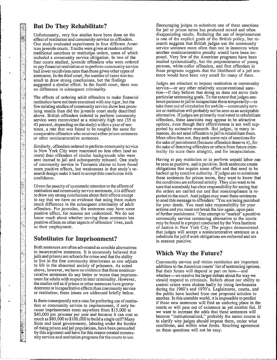## But Do They Rehabilitate?

Unfortunately, very few studies have been done on the effect of restitution and community service on offenders. One study evaluated experiments in four different American juvenile courts. Youths were given at random either traditional sanctions or restitution orders, some of which included a community service obligation. In two of the four courts studied, juvenile offenders who were ordered to pay financial restitution or to perform community service had lower recidivism rates than those given other types of sentences. In the third court, the number of cases was too small to draw strong conclusions, but the findings suggested a similar effect. In the fourth court, there was no difference in subsequent criminality.

-- -------~~---------------------------------------------

The effects of ordering adult offenders to make financial restitution have not been examined with any rigor, but the few existing studies of community service show less promising results than did the juvenile court study described above. British offenders ordered to perform community service were reconvicted at a relatively high rate (35 to 45 percent, depending on the study) within a year of sentence, a rate that was found to be roughly the same for comparable offenders who received either prison sentences or other nonincarcerative sentences.

Similarly, offenders ordered to perform community service in New York City were rearrested no less often (and no more) than offenders of similar backgrounds who were sent instead to jail and subsequently released. One study of community service in Tasmania claims to have found more positive effects, but weaknesses in that study's research design make it hard to accept this conclusion with confidence.

Given the paucity of systematic attention to the effects of restitution and community service sentences, it is difficult to draw any strong conclusions about their effects except to say that we have no evidence that using them makes much difference in the subsequent criminality of adult offenders. For juveniles, the sentences may have some positive effect, for reasons not understood. We do not know much about whether serving these sentences has positive effects on other aspects of offenders' lives, such as their employment.

# Substitutes for Imprisonment?

Both sentences are often advocated as sensible alternatives to incarcerative sentences. It is commonly believed that jails and prisons are schools for crime and that the ability to live in the free community deteriorates as one adjusts to life in the abnormal society of prisoners. As noted above, however, we have no evidence that these nonincarcerative sentences do any better or worse than imprisonment for adults with respect to later criminality. However, the studies tell us if prison or other sentences have greater deterrent or incapacitative effects than community service or restitution; these issues are addressed briefly below.

Is there consequently not a case for preferring use of restitution or community service to imprisonment, if only because imprisonment costs anywhere from \$15,000 to \$40,000 per prisoner per year and because it can cost as much as \$80,000 to \$100,000 to build a single cell? Many State and local governments, laboring under the burden of rising prison and jail populations, have been persuaded by this argument and have for this reason created community service and restitution programs for the courts to use.

Encouraging judges to substitute one of these sanctions for jail or prison terms has produced mixed and often disappointing results. Reducing the use of imprisonment is one of the explicit goals of the British policy, but research suggests that British judges use the community service sentence more often than not in instances when another nonincarcerative penalty would have been imposed. Very few of the American programs have been studied systematically. but the preponderance of young persons, white-collar offenders, and first offenders in these programs suggests that the likelihood of a jail sentence would have been very small for many of them.

Judges are reluctant to impose restitution or community service—or any other relatively unconventional sanction-if they believe that doing so does not serve their particular sentencing goals. To the extent that judges sentence persons to jail to incapacitate them temporarily--- to take them out of circulation for awhile-community service or restitution will probably not be seen as an acceptable alternative. If judges are primarily motivated to rehabilitate offenders, these sanctions may appear to be attractive options, even though their effectiveness is not well supported by extensive research. But judges, in many instances, do not send offenders to jail to rehabilitate them. More often than not, they seek some mix of sanctions for the sake of punishment (because offenders deserve it), for the sake of deten'ing offenders or others from future criminality (to scare them straight), and for incapacitation.

Having to pay restitution or to perform unpaid labor can be seen as punitive, and is punitive. Both sentences create obligations that require some effort and that need to be backed up by coercive authority. If judges are to substitute these sentences for prison terms, they want to know that the conditions are enforced strictly. They also want to be sure that somebody has clear responsibility for seeing that the orders are carried out and that noncompliance is reported to the court. And judges may want these sentences to send this message to offenders: "You are being punished for your deeds. You must take responsibility for your actions and you must not break the law again, upon pain of further punishment." One attempt to "market" a punitive community service sentencing alternative to the courts may be found in a project conducted by the Vera Institute of Justice in New York City. The project demonstrated that judges will accept a nonincarcerative sentence as a substitute for jail if work obligations are enforced and are in essence punitive.

# **Which** Way the Future?

Community service and victim restitution are important additions to the American courts' list of sentencing options. But their future will depend in part on how,—and whether--we resolve the larger debate about the way we should respond to criminals. Beliefs about our ability to control crime were shaken badly by rising lawlessness during the 1960's and 1970's. Legislatures, courts, and the public have lurched from one proposed solution to another. In this unstable world, it is impossible to predict if these new sentences will find an enduring place in the courts or will pass out of existence as yet another fad. If we want to increase the odds that these sentences will become "institutionalized," probably the surest course is to clarify why judges should impose them, under what conditions, and within what limits. Reaching agreement on these questions will not be easy.

 $\mathbb{R}$